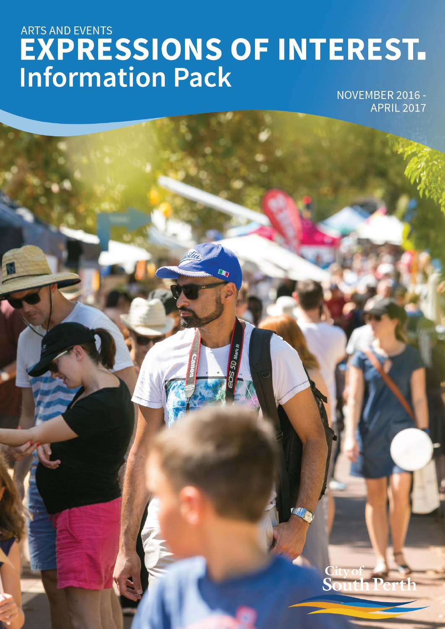# ARTS AND EVENTS<br> **EXPRESSIONS OF INTEREST.**<br>
Information Pack

 $\overline{\mathbf{D}}$ 

NOVEMBER 2016 -**APRIL 2017** 

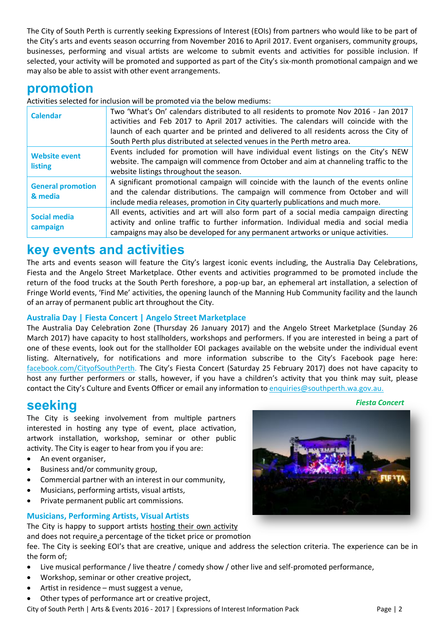The City of South Perth is currently seeking Expressions of Interest (EOIs) from partners who would like to be part of the City's arts and events season occurring from November 2016 to April 2017. Event organisers, community groups, businesses, performing and visual artists are welcome to submit events and activities for possible inclusion. If selected, your activity will be promoted and supported as part of the City's six-month promotional campaign and we may also be able to assist with other event arrangements.

# **promotion**

Activities selected for inclusion will be promoted via the below mediums:

| <b>Calendar</b>                        | Two 'What's On' calendars distributed to all residents to promote Nov 2016 - Jan 2017<br>activities and Feb 2017 to April 2017 activities. The calendars will coincide with the                                                                                      |  |
|----------------------------------------|----------------------------------------------------------------------------------------------------------------------------------------------------------------------------------------------------------------------------------------------------------------------|--|
|                                        | launch of each quarter and be printed and delivered to all residents across the City of                                                                                                                                                                              |  |
|                                        | South Perth plus distributed at selected venues in the Perth metro area.                                                                                                                                                                                             |  |
| <b>Website event</b><br><b>listing</b> | Events included for promotion will have individual event listings on the City's NEW<br>website. The campaign will commence from October and aim at channeling traffic to the<br>website listings throughout the season.                                              |  |
| <b>General promotion</b><br>& media    | A significant promotional campaign will coincide with the launch of the events online<br>and the calendar distributions. The campaign will commence from October and will<br>include media releases, promotion in City quarterly publications and much more.         |  |
| <b>Social media</b><br>campaign        | All events, activities and art will also form part of a social media campaign directing<br>activity and online traffic to further information. Individual media and social media<br>campaigns may also be developed for any permanent artworks or unique activities. |  |

# **key events and activities**

The arts and events season will feature the City's largest iconic events including, the Australia Day Celebrations, Fiesta and the Angelo Street Marketplace. Other events and activities programmed to be promoted include the return of the food trucks at the South Perth foreshore, a pop-up bar, an ephemeral art installation, a selection of Fringe World events, 'Find Me' activities, the opening launch of the Manning Hub Community facility and the launch of an array of permanent public art throughout the City.

## **Australia Day | Fiesta Concert | Angelo Street Marketplace**

The Australia Day Celebration Zone (Thursday 26 January 2017) and the Angelo Street Marketplace (Sunday 26 March 2017) have capacity to host stallholders, workshops and performers. If you are interested in being a part of one of these events, look out for the stallholder EOI packages available on the website under the individual event listing. Alternatively, for notifications and more information subscribe to the City's Facebook page here: [facebook.com/CityofSouthPerth.](https://www.facebook.com/CityofSouthPerth) The City's Fiesta Concert (Saturday 25 February 2017) does not have capacity to host any further performers or stalls, however, if you have a children's activity that you think may suit, please contact the City's Culture and Events Officer or email any information to [enquiries@southperth.wa.gov.au.](mailto:enquiries@southperth.wa.gov.au)

# **seeking**

The City is seeking involvement from multiple partners interested in hosting any type of event, place activation, artwork installation, workshop, seminar or other public activity. The City is eager to hear from you if you are:

- An event organiser,
- Business and/or community group,
- Commercial partner with an interest in our community,
- Musicians, performing artists, visual artists,
- Private permanent public art commissions.

## **Musicians, Performing Artists, Visual Artists**

The City is happy to support artists hosting their own activity

and does not require a percentage of the ticket price or promotion

fee. The City is seeking EOI's that are creative, unique and address the selection criteria. The experience can be in the form of;

- Live musical performance / live theatre / comedy show / other live and self-promoted performance,
- Workshop, seminar or other creative project,
- Artist in residence must suggest a venue,
- Other types of performance art or creative project,

City of South Perth | Arts & Events 2016 - 2017 | Expressions of Interest Information Pack Page | 2

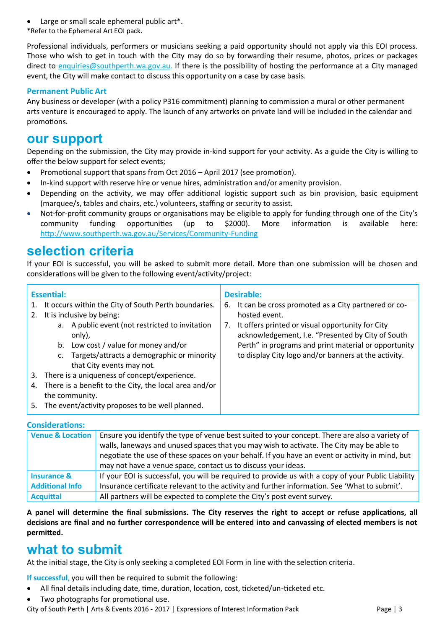- Large or small scale ephemeral public art\*.
- \*Refer to the Ephemeral Art EOI pack.

Professional individuals, performers or musicians seeking a paid opportunity should not apply via this EOI process. Those who wish to get in touch with the City may do so by forwarding their resume, photos, prices or packages direct to [enquiries@southperth.wa.gov.au.](mailto:enquiries@southperth.wa.gov.au) If there is the possibility of hosting the performance at a City managed event, the City will make contact to discuss this opportunity on a case by case basis.

### **Permanent Public Art**

Any business or developer (with a policy P316 commitment) planning to commission a mural or other permanent arts venture is encouraged to apply. The launch of any artworks on private land will be included in the calendar and promotions.

# **our support**

Depending on the submission, the City may provide in-kind support for your activity. As a guide the City is willing to offer the below support for select events;

- Promotional support that spans from Oct 2016 April 2017 (see promotion).
- In-kind support with reserve hire or venue hires, administration and/or amenity provision.
- Depending on the activity, we may offer additional logistic support such as bin provision, basic equipment (marquee/s, tables and chairs, etc.) volunteers, staffing or security to assist.
- Not-for-profit community groups or organisations may be eligible to apply for funding through one of the City's community funding opportunities (up to \$2000). More information is available here: [http://www.southperth.wa.gov.au/Services/Community](http://www.southperth.wa.gov.au/Services/Community-Funding)-Funding

# **selection criteria**

If your EOI is successful, you will be asked to submit more detail. More than one submission will be chosen and considerations will be given to the following event/activity/project:

| <b>Essential:</b> |                                                           | <b>Desirable:</b>                                                                                           |  |
|-------------------|-----------------------------------------------------------|-------------------------------------------------------------------------------------------------------------|--|
|                   | It occurs within the City of South Perth boundaries.      | It can be cross promoted as a City partnered or co-<br>6.                                                   |  |
| 2.                | It is inclusive by being:                                 | hosted event.                                                                                               |  |
|                   | a. A public event (not restricted to invitation<br>only), | It offers printed or visual opportunity for City<br>7.<br>acknowledgement, I.e. "Presented by City of South |  |
|                   | b. Low cost / value for money and/or                      | Perth" in programs and print material or opportunity                                                        |  |
|                   | c. Targets/attracts a demographic or minority             | to display City logo and/or banners at the activity.                                                        |  |
|                   | that City events may not.                                 |                                                                                                             |  |
| 3.                | There is a uniqueness of concept/experience.              |                                                                                                             |  |
| 4.                | There is a benefit to the City, the local area and/or     |                                                                                                             |  |
| the community.    |                                                           |                                                                                                             |  |
| 5.                | The event/activity proposes to be well planned.           |                                                                                                             |  |

### **Considerations:**

| <b>Venue &amp; Location</b> | Ensure you identify the type of venue best suited to your concept. There are also a variety of<br>walls, laneways and unused spaces that you may wish to activate. The City may be able to<br>negotiate the use of these spaces on your behalf. If you have an event or activity in mind, but<br>may not have a venue space, contact us to discuss your ideas. |
|-----------------------------|----------------------------------------------------------------------------------------------------------------------------------------------------------------------------------------------------------------------------------------------------------------------------------------------------------------------------------------------------------------|
| <b>Insurance &amp;</b>      | If your EOI is successful, you will be required to provide us with a copy of your Public Liability                                                                                                                                                                                                                                                             |
| <b>Additional Info</b>      | Insurance certificate relevant to the activity and further information. See 'What to submit'.                                                                                                                                                                                                                                                                  |
| <b>Acquittal</b>            | All partners will be expected to complete the City's post event survey.                                                                                                                                                                                                                                                                                        |

**A panel will determine the final submissions. The City reserves the right to accept or refuse applications, all decisions are final and no further correspondence will be entered into and canvassing of elected members is not permitted.**

# **what to submit**

At the initial stage, the City is only seeking a completed EOI Form in line with the selection criteria.

**If successful**, you will then be required to submit the following:

- All final details including date, time, duration, location, cost, ticketed/un-ticketed etc.
- Two photographs for promotional use.

City of South Perth | Arts & Events 2016 - 2017 | Expressions of Interest Information Pack Page | 3